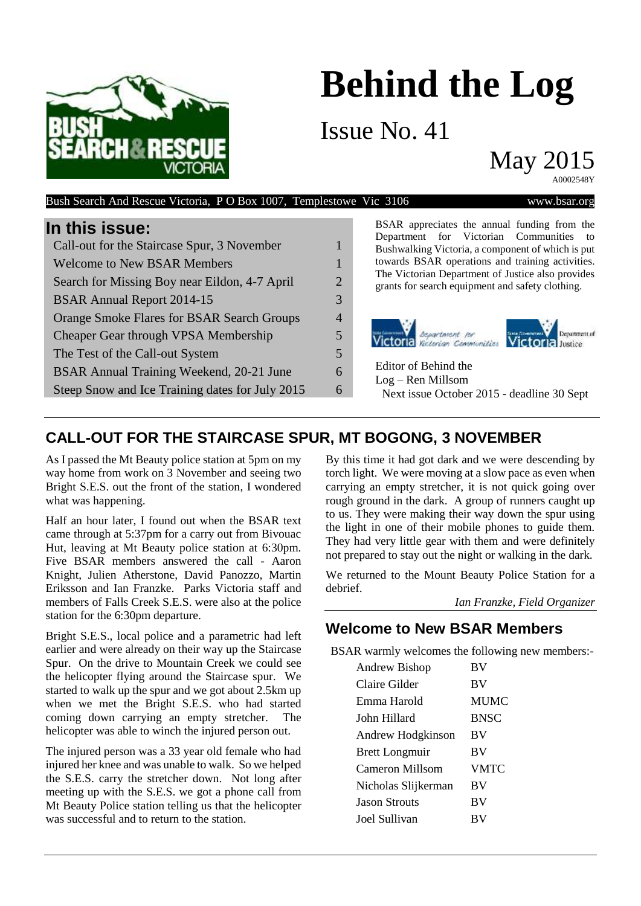# **Behind the Log**

Issue No. 41

May 2015

A0002548Y



### Bush Search And Rescue Victoria, P O Box 1007, Templestowe Vic 3106 www.bsar.org

## **In this issue:**

| Call-out for the Staircase Spur, 3 November       |   |
|---------------------------------------------------|---|
| <b>Welcome to New BSAR Members</b>                | 1 |
| Search for Missing Boy near Eildon, 4-7 April     | 2 |
| <b>BSAR Annual Report 2014-15</b>                 | 3 |
| <b>Orange Smoke Flares for BSAR Search Groups</b> | 4 |
| Cheaper Gear through VPSA Membership              | 5 |
| The Test of the Call-out System                   | 5 |
| BSAR Annual Training Weekend, 20-21 June          | 6 |
| Steep Snow and Ice Training dates for July 2015   | 6 |
|                                                   |   |

BSAR appreciates the annual funding from the Department for Victorian Communities to Bushwalking Victoria, a component of which is put towards BSAR operations and training activities. The Victorian Department of Justice also provides grants for search equipment and safety clothing.



Editor of Behind the Log – Ren Millsom Next issue October 2015 - deadline 30 Sept

# **CALL-OUT FOR THE STAIRCASE SPUR, MT BOGONG, 3 NOVEMBER**

As I passed the Mt Beauty police station at 5pm on my way home from work on 3 November and seeing two Bright S.E.S. out the front of the station, I wondered what was happening.

Half an hour later, I found out when the BSAR text came through at 5:37pm for a carry out from Bivouac Hut, leaving at Mt Beauty police station at 6:30pm. Five BSAR members answered the call - Aaron Knight, Julien Atherstone, David Panozzo, Martin Eriksson and Ian Franzke. Parks Victoria staff and members of Falls Creek S.E.S. were also at the police station for the 6:30pm departure.

Bright S.E.S., local police and a parametric had left earlier and were already on their way up the Staircase Spur. On the drive to Mountain Creek we could see the helicopter flying around the Staircase spur. We started to walk up the spur and we got about 2.5km up when we met the Bright S.E.S. who had started coming down carrying an empty stretcher. The helicopter was able to winch the injured person out.

The injured person was a 33 year old female who had injured her knee and was unable to walk. So we helped the S.E.S. carry the stretcher down. Not long after meeting up with the S.E.S. we got a phone call from Mt Beauty Police station telling us that the helicopter was successful and to return to the station.

By this time it had got dark and we were descending by torch light. We were moving at a slow pace as even when carrying an empty stretcher, it is not quick going over rough ground in the dark. A group of runners caught up to us. They were making their way down the spur using the light in one of their mobile phones to guide them. They had very little gear with them and were definitely not prepared to stay out the night or walking in the dark.

We returned to the Mount Beauty Police Station for a debrief.

*Ian Franzke, Field Organizer*

## **Welcome to New BSAR Members**

BSAR warmly welcomes the following new members:-

| Andrew Bishop         | BV          |
|-----------------------|-------------|
| Claire Gilder         | <b>BV</b>   |
| Emma Harold           | <b>MUMC</b> |
| John Hillard          | <b>BNSC</b> |
| Andrew Hodgkinson     | <b>BV</b>   |
| <b>Brett Longmuir</b> | <b>BV</b>   |
| Cameron Millsom       | VMTC        |
| Nicholas Slijkerman   | <b>BV</b>   |
| <b>Jason Strouts</b>  | <b>BV</b>   |
| Joel Sullivan         | BV          |
|                       |             |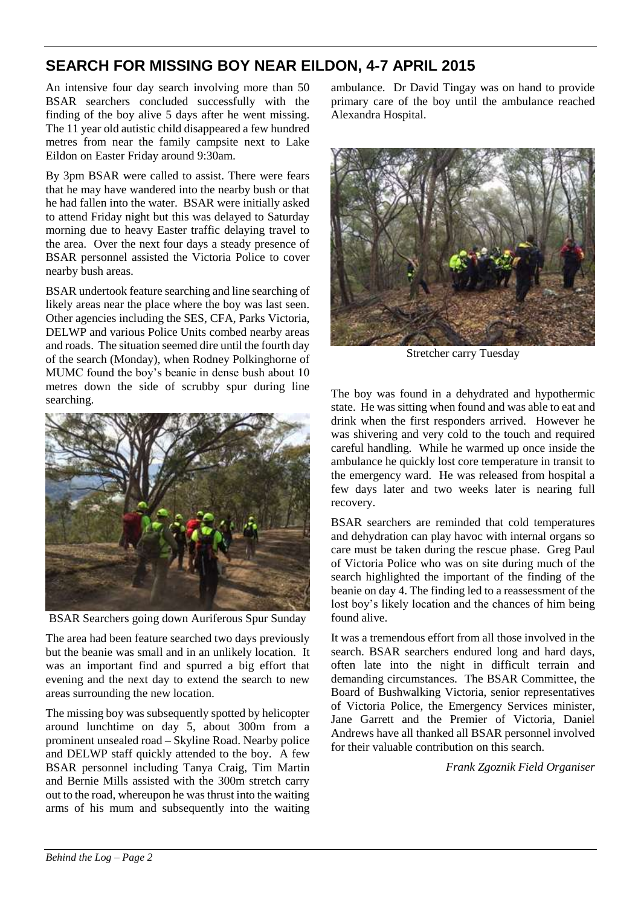# **SEARCH FOR MISSING BOY NEAR EILDON, 4-7 APRIL 2015**

An intensive four day search involving more than 50 BSAR searchers concluded successfully with the finding of the boy alive 5 days after he went missing. The 11 year old autistic child disappeared a few hundred metres from near the family campsite next to Lake Eildon on Easter Friday around 9:30am.

By 3pm BSAR were called to assist. There were fears that he may have wandered into the nearby bush or that he had fallen into the water. BSAR were initially asked to attend Friday night but this was delayed to Saturday morning due to heavy Easter traffic delaying travel to the area. Over the next four days a steady presence of BSAR personnel assisted the Victoria Police to cover nearby bush areas.

BSAR undertook feature searching and line searching of likely areas near the place where the boy was last seen. Other agencies including the SES, CFA, Parks Victoria, DELWP and various Police Units combed nearby areas and roads. The situation seemed dire until the fourth day of the search (Monday), when Rodney Polkinghorne of MUMC found the boy's beanie in dense bush about 10 metres down the side of scrubby spur during line searching.



BSAR Searchers going down Auriferous Spur Sunday

The area had been feature searched two days previously but the beanie was small and in an unlikely location. It was an important find and spurred a big effort that evening and the next day to extend the search to new areas surrounding the new location.

The missing boy was subsequently spotted by helicopter around lunchtime on day 5, about 300m from a prominent unsealed road – Skyline Road. Nearby police and DELWP staff quickly attended to the boy. A few BSAR personnel including Tanya Craig, Tim Martin and Bernie Mills assisted with the 300m stretch carry out to the road, whereupon he was thrust into the waiting arms of his mum and subsequently into the waiting ambulance. Dr David Tingay was on hand to provide primary care of the boy until the ambulance reached Alexandra Hospital.



Stretcher carry Tuesday

The boy was found in a dehydrated and hypothermic state. He was sitting when found and was able to eat and drink when the first responders arrived. However he was shivering and very cold to the touch and required careful handling. While he warmed up once inside the ambulance he quickly lost core temperature in transit to the emergency ward. He was released from hospital a few days later and two weeks later is nearing full recovery.

BSAR searchers are reminded that cold temperatures and dehydration can play havoc with internal organs so care must be taken during the rescue phase. Greg Paul of Victoria Police who was on site during much of the search highlighted the important of the finding of the beanie on day 4. The finding led to a reassessment of the lost boy's likely location and the chances of him being found alive.

It was a tremendous effort from all those involved in the search. BSAR searchers endured long and hard days, often late into the night in difficult terrain and demanding circumstances. The BSAR Committee, the Board of Bushwalking Victoria, senior representatives of Victoria Police, the Emergency Services minister, Jane Garrett and the Premier of Victoria, Daniel Andrews have all thanked all BSAR personnel involved for their valuable contribution on this search.

*Frank Zgoznik Field Organiser*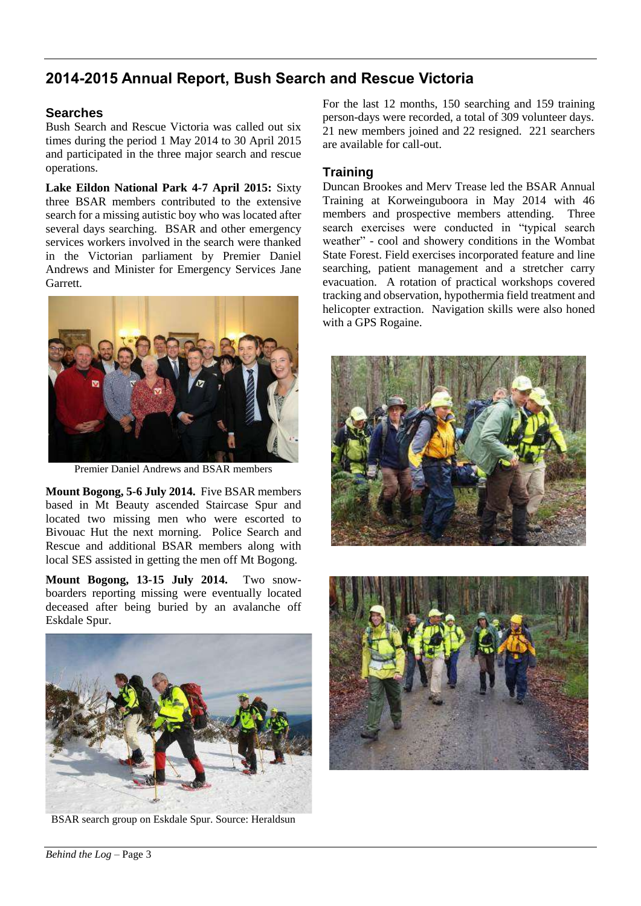# **2014-2015 Annual Report, Bush Search and Rescue Victoria**

#### **Searches**

Bush Search and Rescue Victoria was called out six times during the period 1 May 2014 to 30 April 2015 and participated in the three major search and rescue operations.

**Lake Eildon National Park 4-7 April 2015:** Sixty three BSAR members contributed to the extensive search for a missing autistic boy who was located after several days searching. BSAR and other emergency services workers involved in the search were thanked in the Victorian parliament by Premier Daniel Andrews and Minister for Emergency Services Jane Garrett.



Premier Daniel Andrews and BSAR members

**Mount Bogong, 5-6 July 2014.** Five BSAR members based in Mt Beauty ascended Staircase Spur and located two missing men who were escorted to Bivouac Hut the next morning. Police Search and Rescue and additional BSAR members along with local SES assisted in getting the men off Mt Bogong.

**Mount Bogong, 13-15 July 2014.** Two snowboarders reporting missing were eventually located deceased after being buried by an avalanche off Eskdale Spur.



BSAR search group on Eskdale Spur. Source: Heraldsun

For the last 12 months, 150 searching and 159 training person-days were recorded, a total of 309 volunteer days. 21 new members joined and 22 resigned. 221 searchers are available for call-out.

#### **Training**

Duncan Brookes and Merv Trease led the BSAR Annual Training at Korweinguboora in May 2014 with 46 members and prospective members attending. Three search exercises were conducted in "typical search weather" - cool and showery conditions in the Wombat State Forest. Field exercises incorporated feature and line searching, patient management and a stretcher carry evacuation. A rotation of practical workshops covered tracking and observation, hypothermia field treatment and helicopter extraction. Navigation skills were also honed with a GPS Rogaine.



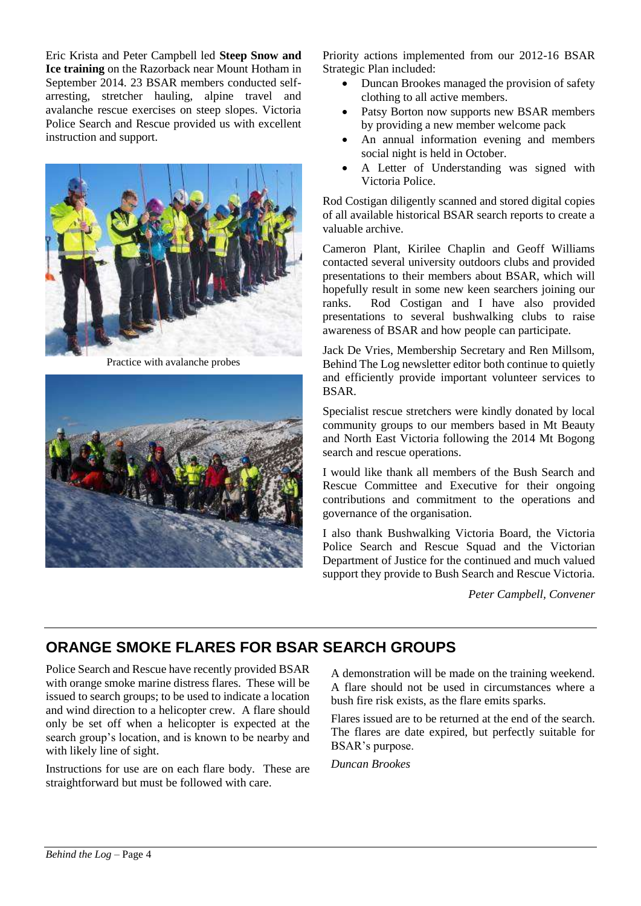Eric Krista and Peter Campbell led **Steep Snow and Ice training** on the Razorback near Mount Hotham in September 2014. 23 BSAR members conducted selfarresting, stretcher hauling, alpine travel and avalanche rescue exercises on steep slopes. Victoria Police Search and Rescue provided us with excellent instruction and support.



Practice with avalanche probes



Priority actions implemented from our 2012-16 BSAR Strategic Plan included:

- Duncan Brookes managed the provision of safety clothing to all active members.
- Patsy Borton now supports new BSAR members by providing a new member welcome pack
- An annual information evening and members social night is held in October.
- A Letter of Understanding was signed with Victoria Police.

Rod Costigan diligently scanned and stored digital copies of all available historical BSAR search reports to create a valuable archive.

Cameron Plant, Kirilee Chaplin and Geoff Williams contacted several university outdoors clubs and provided presentations to their members about BSAR, which will hopefully result in some new keen searchers joining our ranks. Rod Costigan and I have also provided presentations to several bushwalking clubs to raise awareness of BSAR and how people can participate.

Jack De Vries, Membership Secretary and Ren Millsom, Behind The Log newsletter editor both continue to quietly and efficiently provide important volunteer services to BSAR.

Specialist rescue stretchers were kindly donated by local community groups to our members based in Mt Beauty and North East Victoria following the 2014 Mt Bogong search and rescue operations.

I would like thank all members of the Bush Search and Rescue Committee and Executive for their ongoing contributions and commitment to the operations and governance of the organisation.

I also thank Bushwalking Victoria Board, the Victoria Police Search and Rescue Squad and the Victorian Department of Justice for the continued and much valued support they provide to Bush Search and Rescue Victoria.

*Peter Campbell, Convener*

# **ORANGE SMOKE FLARES FOR BSAR SEARCH GROUPS**

Police Search and Rescue have recently provided BSAR with orange smoke marine distress flares. These will be issued to search groups; to be used to indicate a location and wind direction to a helicopter crew. A flare should only be set off when a helicopter is expected at the search group's location, and is known to be nearby and with likely line of sight.

Instructions for use are on each flare body. These are straightforward but must be followed with care.

A demonstration will be made on the training weekend. A flare should not be used in circumstances where a bush fire risk exists, as the flare emits sparks.

Flares issued are to be returned at the end of the search. The flares are date expired, but perfectly suitable for BSAR's purpose.

*Duncan Brookes*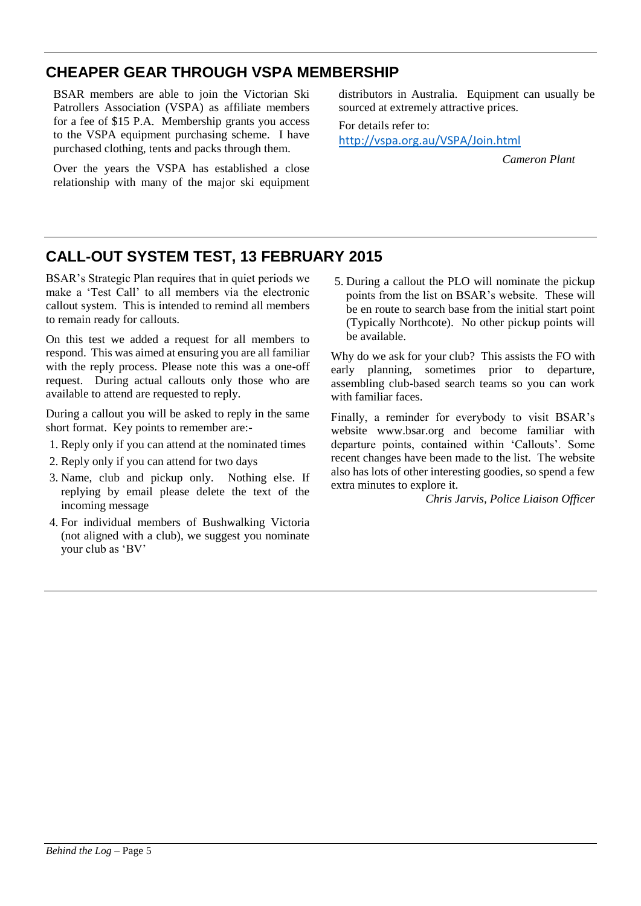# **CHEAPER GEAR THROUGH VSPA MEMBERSHIP**

BSAR members are able to join the Victorian Ski Patrollers Association (VSPA) as affiliate members for a fee of \$15 P.A. Membership grants you access to the VSPA equipment purchasing scheme. I have purchased clothing, tents and packs through them.

Over the years the VSPA has established a close relationship with many of the major ski equipment distributors in Australia. Equipment can usually be sourced at extremely attractive prices.

For details refer to: <http://vspa.org.au/VSPA/Join.html>

*Cameron Plant*

# **CALL-OUT SYSTEM TEST, 13 FEBRUARY 2015**

BSAR's Strategic Plan requires that in quiet periods we make a 'Test Call' to all members via the electronic callout system. This is intended to remind all members to remain ready for callouts.

On this test we added a request for all members to respond. This was aimed at ensuring you are all familiar with the reply process. Please note this was a one-off request. During actual callouts only those who are available to attend are requested to reply.

During a callout you will be asked to reply in the same short format. Key points to remember are:-

- 1. Reply only if you can attend at the nominated times
- 2. Reply only if you can attend for two days
- 3. Name, club and pickup only. Nothing else. If replying by email please delete the text of the incoming message
- 4. For individual members of Bushwalking Victoria (not aligned with a club), we suggest you nominate your club as 'BV'

5. During a callout the PLO will nominate the pickup points from the list on BSAR's website. These will be en route to search base from the initial start point (Typically Northcote). No other pickup points will be available.

Why do we ask for your club? This assists the FO with early planning, sometimes prior to departure, assembling club-based search teams so you can work with familiar faces.

Finally, a reminder for everybody to visit BSAR's website www.bsar.org and become familiar with departure points, contained within 'Callouts'. Some recent changes have been made to the list. The website also has lots of other interesting goodies, so spend a few extra minutes to explore it.

*Chris Jarvis, Police Liaison Officer*